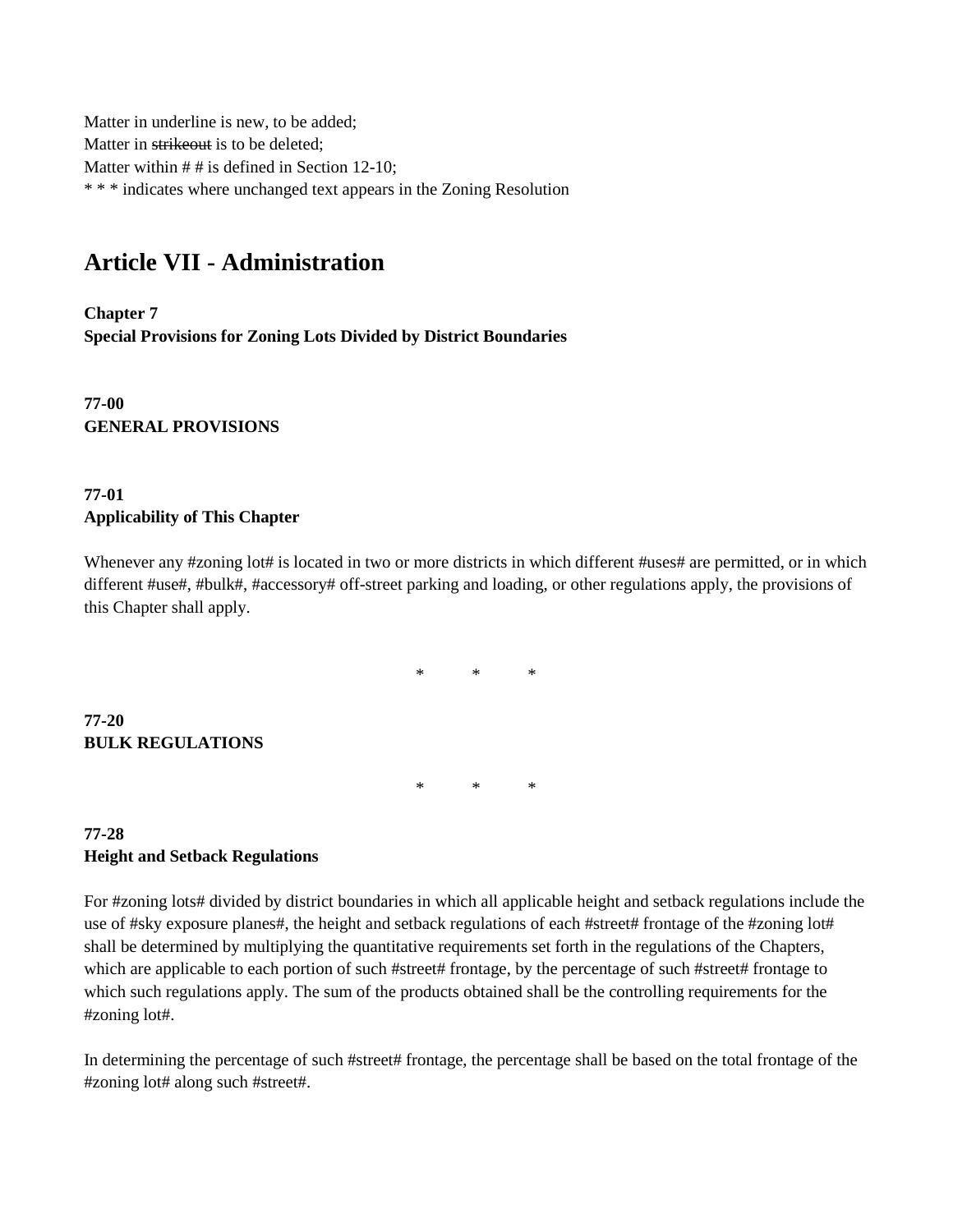Matter in underline is new, to be added; Matter in strikeout is to be deleted; Matter within  $# #$  is defined in Section 12-10; \* \* \* indicates where unchanged text appears in the Zoning Resolution

## **Article VII - Administration**

**Chapter 7 Special Provisions for Zoning Lots Divided by District Boundaries**

**77-00 GENERAL PROVISIONS**

## **77-01 Applicability of This Chapter**

Whenever any #zoning lot# is located in two or more districts in which different #uses# are permitted, or in which different #use#, #bulk#, #accessory# off-street parking and loading, or other regulations apply, the provisions of this Chapter shall apply.

 $*$  \* \*

\* \* \*

**77-20 BULK REGULATIONS**

## **77-28 Height and Setback Regulations**

For #zoning lots# divided by district boundaries in which all applicable height and setback regulations include the use of #sky exposure planes#, the height and setback regulations of each #street# frontage of the #zoning lot# shall be determined by multiplying the quantitative requirements set forth in the regulations of the Chapters, which are applicable to each portion of such #street# frontage, by the percentage of such #street# frontage to which such regulations apply. The sum of the products obtained shall be the controlling requirements for the #zoning lot#.

In determining the percentage of such #street# frontage, the percentage shall be based on the total frontage of the #zoning lot# along such #street#.